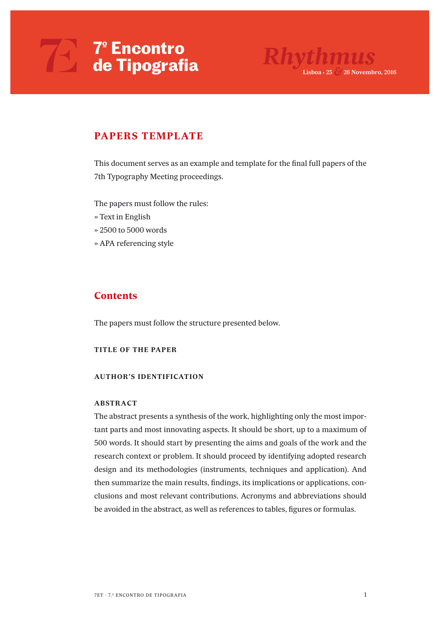

### **PAPERS TEMPLATE**

*This document serves as an example and template for the final full papers of the 7th Typography Meeting proceedings.*

*The papers must follow the rules:*

- *» Text in English*
- *» 2500 to 5000 words*
- *» APA referencing style*

### **Contents**

*The papers must follow the structure presented below.*

### **TITLE OF THE PAPER**

### **AUTHOR'S IDENTIFICATION**

### **ABSTRACT**

*The abstract presents a synthesis of the work, highlighting only the most important parts and most innovating aspects. It should be short, up to a maximum of 500 words. It should start by presenting the aims and goals of the work and the research context or problem. It should proceed by identifying adopted research design and its methodologies (instruments, techniques and application). And then summarize the main results, findings, its implications or applications, conclusions and most relevant contributions. Acronyms and abbreviations should be avoided in the abstract, as well as references to tables, figures or formulas.*